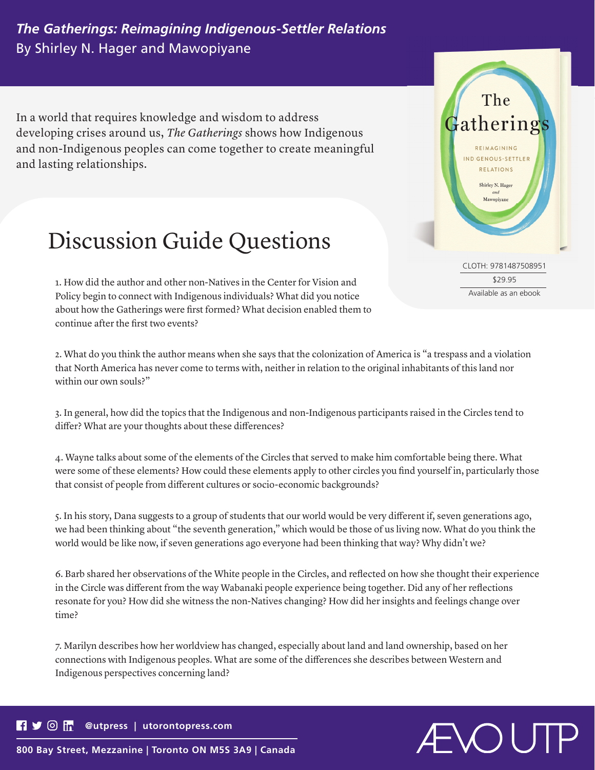## *The Gatherings: Reimagining Indigenous-Settler Relations* By Shirley N. Hager and Mawopiyane

In a world that requires knowledge and wisdom to address developing crises around us, *The Gatherings* shows how Indigenous and non-Indigenous peoples can come together to create meaningful and lasting relationships.



1. How did the author and other non-Natives in the Center for Vision and Policy begin to connect with Indigenous individuals? What did you notice about how the Gatherings were first formed? What decision enabled them to continue after the first two events?

2. What do you think the author means when she says that the colonization of America is "a trespass and a violation that North America has never come to terms with, neither in relation to the original inhabitants of this land nor within our own souls?"

3. In general, how did the topics that the Indigenous and non-Indigenous participants raised in the Circles tend to differ? What are your thoughts about these differences?

4. Wayne talks about some of the elements of the Circles that served to make him comfortable being there. What were some of these elements? How could these elements apply to other circles you find yourself in, particularly those that consist of people from different cultures or socio-economic backgrounds?

5. In his story, Dana suggests to a group of students that our world would be very different if, seven generations ago, we had been thinking about "the seventh generation," which would be those of us living now. What do you think the world would be like now, if seven generations ago everyone had been thinking that way? Why didn't we?

6. Barb shared her observations of the White people in the Circles, and reflected on how she thought their experience in the Circle was different from the way Wabanaki people experience being together. Did any of her reflections resonate for you? How did she witness the non-Natives changing? How did her insights and feelings change over time?

7. Marilyn describes how her worldview has changed, especially about land and land ownership, based on her connections with Indigenous peoples. What are some of the differences she describes between Western and Indigenous perspectives concerning land?

## $\blacksquare$ **@utpress | utorontopress.com**

NOV-